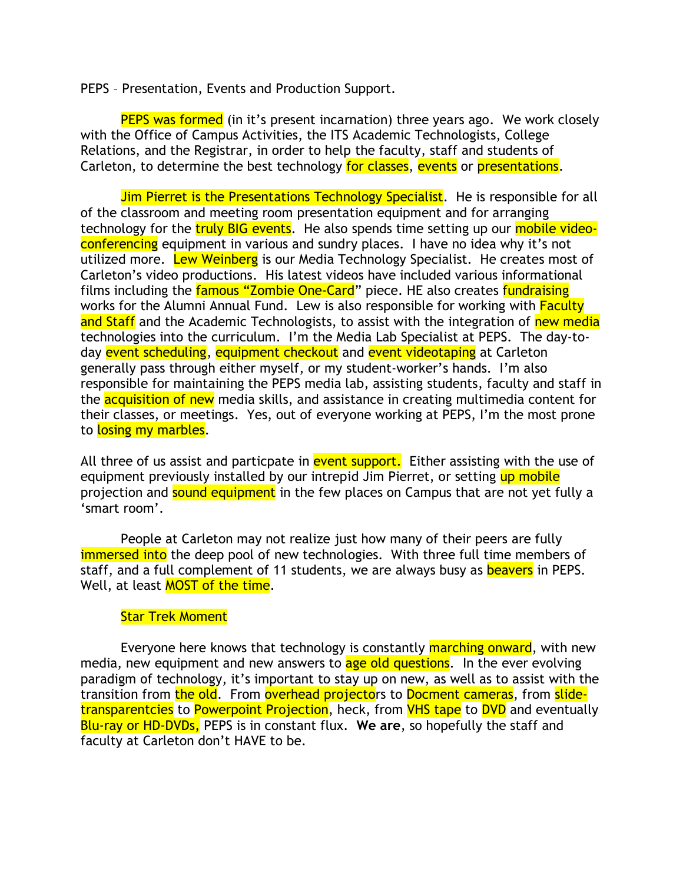PEPS – Presentation, Events and Production Support.

**PEPS was formed** (in it's present incarnation) three years ago. We work closely with the Office of Campus Activities, the ITS Academic Technologists, College Relations, and the Registrar, in order to help the faculty, staff and students of Carleton, to determine the best technology for classes, events or presentations.

Jim Pierret is the Presentations Technology Specialist. He is responsible for all of the classroom and meeting room presentation equipment and for arranging technology for the **truly BIG events.** He also spends time setting up our mobile videoconferencing equipment in various and sundry places. I have no idea why it's not utilized more. Lew Weinberg is our Media Technology Specialist. He creates most of Carleton's video productions. His latest videos have included various informational films including the famous "Zombie One-Card" piece. HE also creates fundraising works for the Alumni Annual Fund. Lew is also responsible for working with **Faculty** and Staff and the Academic Technologists, to assist with the integration of new media technologies into the curriculum. I'm the Media Lab Specialist at PEPS. The day-today event scheduling, equipment checkout and event videotaping at Carleton generally pass through either myself, or my student-worker's hands. I'm also responsible for maintaining the PEPS media lab, assisting students, faculty and staff in the **acquisition of new** media skills, and assistance in creating multimedia content for their classes, or meetings. Yes, out of everyone working at PEPS, I'm the most prone to losing my marbles.

All three of us assist and particpate in event support. Either assisting with the use of equipment previously installed by our intrepid Jim Pierret, or setting up mobile projection and sound equipment in the few places on Campus that are not yet fully a 'smart room'.

People at Carleton may not realize just how many of their peers are fully immersed into the deep pool of new technologies. With three full time members of staff, and a full complement of 11 students, we are always busy as **beavers** in PEPS. Well, at least **MOST** of the time.

## Star Trek Moment

Everyone here knows that technology is constantly **marching onward**, with new media, new equipment and new answers to age old questions. In the ever evolving paradigm of technology, it's important to stay up on new, as well as to assist with the transition from the old. From overhead projectors to Docment cameras, from slidetransparentcies to Powerpoint Projection, heck, from VHS tape to DVD and eventually Blu-ray or HD-DVDs, PEPS is in constant flux. **We are**, so hopefully the staff and faculty at Carleton don't HAVE to be.